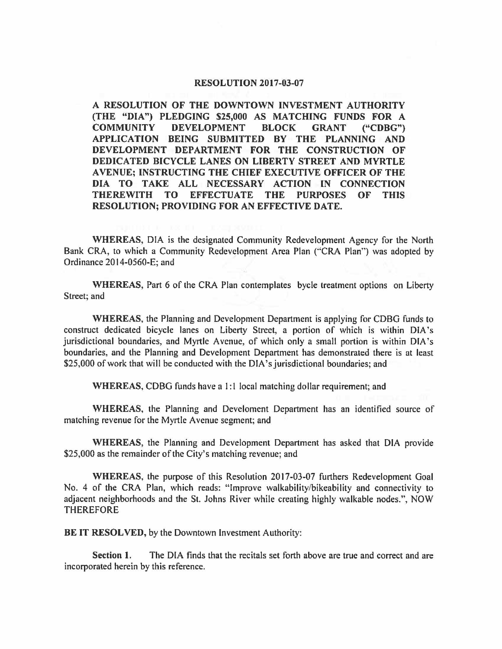## **RESOLUTION 2017-03-07**

**A RESOLUTION OF THE DOWNTOWN INVESTMENT AUTHORITY (THE "DIA") PLEDGING \$25,000 AS MATCHING FUNDS FOR A COMMUNITY DEVELOPMENT BLOCK GRANT ("CDBG") APPLICATION BEING SUBMITTED BY THE PLANNING AND DEVELOPMENT DEPARTMENT FOR THE CONSTRUCTION OF DEDICATED BICYCLE LANES ON LIBERTY STREET AND MYRTLE A VENUE; INSTRUCTING THE CHIEF EXECUTIVE OFFICER OF THE DIA TO TAKE ALL NECESSARY ACTION IN CONNECTION THEREWITH TO EFFECTUATE THE PURPOSES OF THIS RESOLUTION; PROVIDING FOR AN EFFECTIVE DATE.** 

**WHEREAS,** DIA is the designated Community Redevelopment Agency for the North Bank CRA, to which a Community Redevelopment Area Plan ("CRA Plan") was adopted by Ordinance 2014-0560-E; and

**WHEREAS,** Part 6 of the CRA Plan contemplates bycle treatment options on Liberty Street; and

**WHEREAS,** the Planning and Development Department is applying for CDBG funds to construct dedicated bicycle lanes on Liberty Street, a portion of which is within DIA 's jurisdictional boundaries, and Myrtle Avenue, of which only a small portion is within DIA's boundaries, and the Planning and Development Department has demonstrated there is at least \$25,000 of work that will be conducted with the DIA's jurisdictional boundaries; and

WHEREAS, CDBG funds have a 1:1 local matching dollar requirement; and

**WHEREAS,** the Planning and Develoment Department has an identified source of matching revenue for the Myrtle Avenue segment; and

**WHEREAS,** the Planning and Development Department has asked that DIA provide \$25,000 as the remainder of the City's matching revenue; and

**WHEREAS,** the purpose of this Resolution 2017-03-07 furthers Redevelopment Goal No. 4 of the CRA Plan, which reads: "Improve walkability/bikeability and connectivity to adjacent neighborhoods and the St. Johns River while creating highly walkable nodes.", NOW THEREFORE

**BE IT RESOLVED,** by the Downtown Investment Authority:

**Section** I. The DIA finds that the recitals set forth above are true and correct and are incorporated herein by this reference.